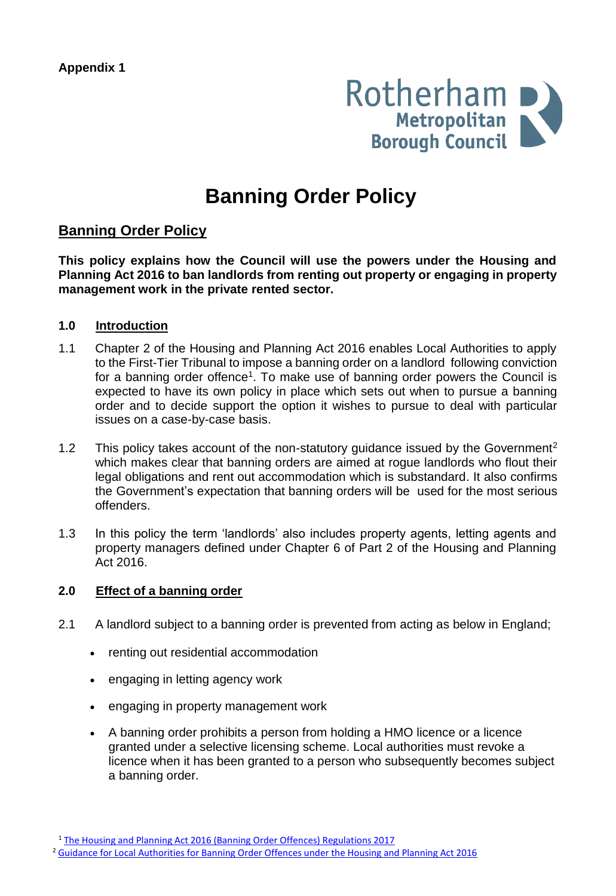

# **Banning Order Policy**

## **Banning Order Policy**

**This policy explains how the Council will use the powers under the Housing and Planning Act 2016 to ban landlords from renting out property or engaging in property management work in the private rented sector.**

#### **1.0 Introduction**

- 1.1 Chapter 2 of the Housing and Planning Act 2016 enables Local Authorities to apply to the First-Tier Tribunal to impose a banning order on a landlord following conviction for a banning order offence<sup>1</sup>. To make use of banning order powers the Council is expected to have its own policy in place which sets out when to pursue a banning order and to decide support the option it wishes to pursue to deal with particular issues on a case-by-case basis.
- 1.2 This policy takes account of the non-statutory guidance issued by the Government<sup>2</sup> which makes clear that banning orders are aimed at rogue landlords who flout their legal obligations and rent out accommodation which is substandard. It also confirms the Government's expectation that banning orders will be used for the most serious offenders.
- 1.3 In this policy the term 'landlords' also includes property agents, letting agents and property managers defined under Chapter 6 of Part 2 of the Housing and Planning Act 2016.

## **2.0 Effect of a banning order**

- 2.1 A landlord subject to a banning order is prevented from acting as below in England;
	- renting out residential accommodation
	- engaging in letting agency work
	- engaging in property management work
	- A banning order prohibits a person from holding a HMO licence or a licence granted under a selective licensing scheme. Local authorities must revoke a licence when it has been granted to a person who subsequently becomes subject a banning order.

<sup>1</sup> The Housing and Planning Act 2016 (Banning Order Offences) [Regulations](http://www.legislation.gov.uk/ukdsi/2017/9780111162224/contents) 2017

<sup>&</sup>lt;sup>2</sup> Guidance for Local [Authorities](https://assets.publishing.service.gov.uk/government/uploads/system/uploads/attachment_data/file/697643/Banning_order_guidance.pdf) for Banning Order Offences under the Housing and Planning Act 2016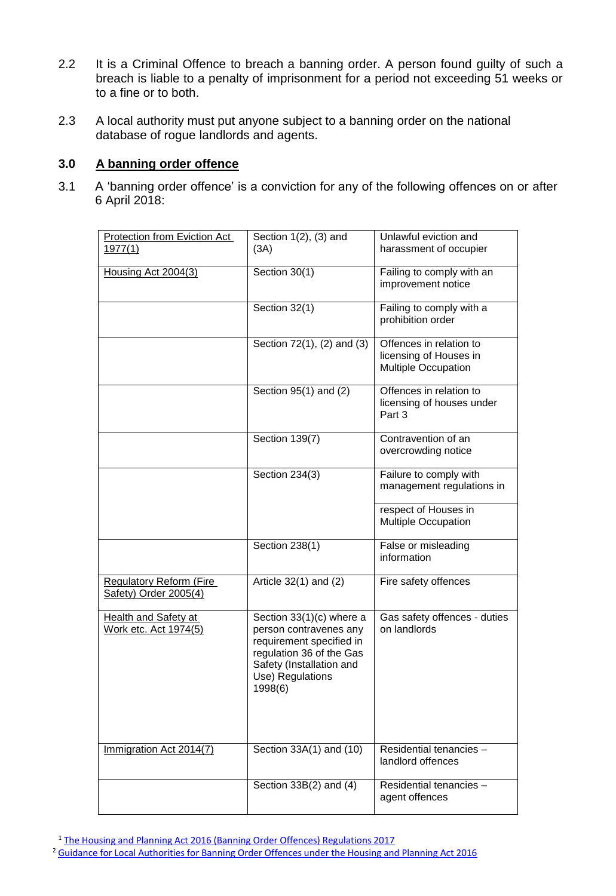- 2.2 It is a Criminal Offence to breach a banning order. A person found guilty of such a breach is liable to a penalty of imprisonment for a period not exceeding 51 weeks or to a fine or to both.
- 2.3 A local authority must put anyone subject to a banning order on the national database of rogue landlords and agents.

## **3.0 A banning order offence**

3.1 A 'banning order offence' is a conviction for any of the following offences on or after 6 April 2018:

| Protection from Eviction Act                                | Section 1(2), (3) and                                                                                                                                                 | Unlawful eviction and<br>harassment of occupier                                 |
|-------------------------------------------------------------|-----------------------------------------------------------------------------------------------------------------------------------------------------------------------|---------------------------------------------------------------------------------|
| <u>1977(1)</u>                                              | (3A)                                                                                                                                                                  |                                                                                 |
| Housing Act 2004(3)                                         | Section 30(1)                                                                                                                                                         | Failing to comply with an<br>improvement notice                                 |
|                                                             | Section 32(1)                                                                                                                                                         | Failing to comply with a<br>prohibition order                                   |
|                                                             | Section $72(1)$ , $(2)$ and $(3)$                                                                                                                                     | Offences in relation to<br>licensing of Houses in<br><b>Multiple Occupation</b> |
|                                                             | Section 95(1) and (2)                                                                                                                                                 | Offences in relation to<br>licensing of houses under<br>Part 3                  |
|                                                             | Section 139(7)                                                                                                                                                        | Contravention of an<br>overcrowding notice                                      |
|                                                             | Section 234(3)                                                                                                                                                        | Failure to comply with<br>management regulations in                             |
|                                                             |                                                                                                                                                                       | respect of Houses in<br><b>Multiple Occupation</b>                              |
|                                                             | Section 238(1)                                                                                                                                                        | False or misleading<br>information                                              |
| <b>Regulatory Reform (Fire</b><br>Safety) Order 2005(4)     | Article 32(1) and (2)                                                                                                                                                 | Fire safety offences                                                            |
| <b>Health and Safety at</b><br><u>Work etc. Act 1974(5)</u> | Section 33(1)(c) where a<br>person contravenes any<br>requirement specified in<br>regulation 36 of the Gas<br>Safety (Installation and<br>Use) Regulations<br>1998(6) | Gas safety offences - duties<br>on landlords                                    |
| Immigration Act 2014(7)                                     | Section 33A(1) and (10)                                                                                                                                               | Residential tenancies -<br>landlord offences                                    |
|                                                             | Section $33B(2)$ and $(4)$                                                                                                                                            | Residential tenancies -<br>agent offences                                       |

<sup>1</sup> The Housing and Planning Act 2016 (Banning Order Offences) [Regulations](http://www.legislation.gov.uk/ukdsi/2017/9780111162224/contents) 2017

<sup>2</sup> Guidance for Local [Authorities](https://assets.publishing.service.gov.uk/government/uploads/system/uploads/attachment_data/file/697643/Banning_order_guidance.pdf) for Banning Order Offences under the Housing and Planning Act 2016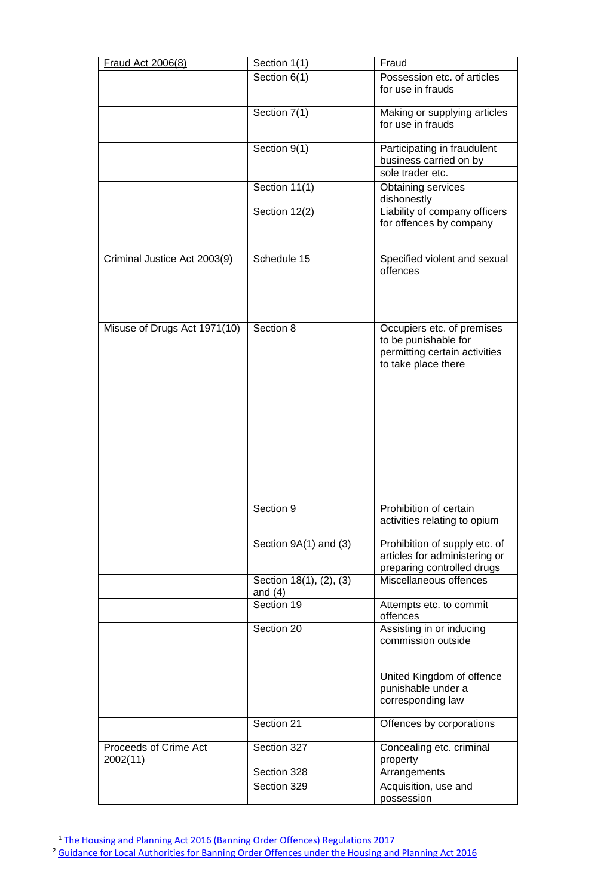| Fraud Act 2006(8)                 | Section 1(1)                         | Fraud                                                                                                      |
|-----------------------------------|--------------------------------------|------------------------------------------------------------------------------------------------------------|
|                                   | Section 6(1)                         | Possession etc. of articles<br>for use in frauds                                                           |
|                                   | Section 7(1)                         | Making or supplying articles<br>for use in frauds                                                          |
|                                   | Section 9(1)                         | Participating in fraudulent<br>business carried on by<br>sole trader etc.                                  |
|                                   | Section 11(1)                        | Obtaining services<br>dishonestly                                                                          |
|                                   | Section 12(2)                        | Liability of company officers<br>for offences by company                                                   |
| Criminal Justice Act 2003(9)      | Schedule 15                          | Specified violent and sexual<br>offences                                                                   |
| Misuse of Drugs Act 1971(10)      | Section 8                            | Occupiers etc. of premises<br>to be punishable for<br>permitting certain activities<br>to take place there |
|                                   | Section 9                            | Prohibition of certain<br>activities relating to opium                                                     |
|                                   | Section 9A(1) and (3)                | Prohibition of supply etc. of<br>articles for administering or<br>preparing controlled drugs               |
|                                   | Section 18(1), (2), (3)<br>and $(4)$ | Miscellaneous offences                                                                                     |
|                                   | Section 19                           | Attempts etc. to commit<br>offences                                                                        |
|                                   | Section 20                           | Assisting in or inducing<br>commission outside                                                             |
|                                   |                                      | United Kingdom of offence<br>punishable under a<br>corresponding law                                       |
|                                   | Section 21                           | Offences by corporations                                                                                   |
| Proceeds of Crime Act<br>2002(11) | Section 327                          | Concealing etc. criminal<br>property                                                                       |
|                                   | Section 328                          | Arrangements                                                                                               |
|                                   | Section 329                          | Acquisition, use and<br>possession                                                                         |

<sup>1</sup> The Housing and Planning Act 2016 (Banning Order Offences) [Regulations](http://www.legislation.gov.uk/ukdsi/2017/9780111162224/contents) 2017

<sup>2</sup> Guidance for Local [Authorities](https://assets.publishing.service.gov.uk/government/uploads/system/uploads/attachment_data/file/697643/Banning_order_guidance.pdf) for Banning Order Offences under the Housing and Planning Act 2016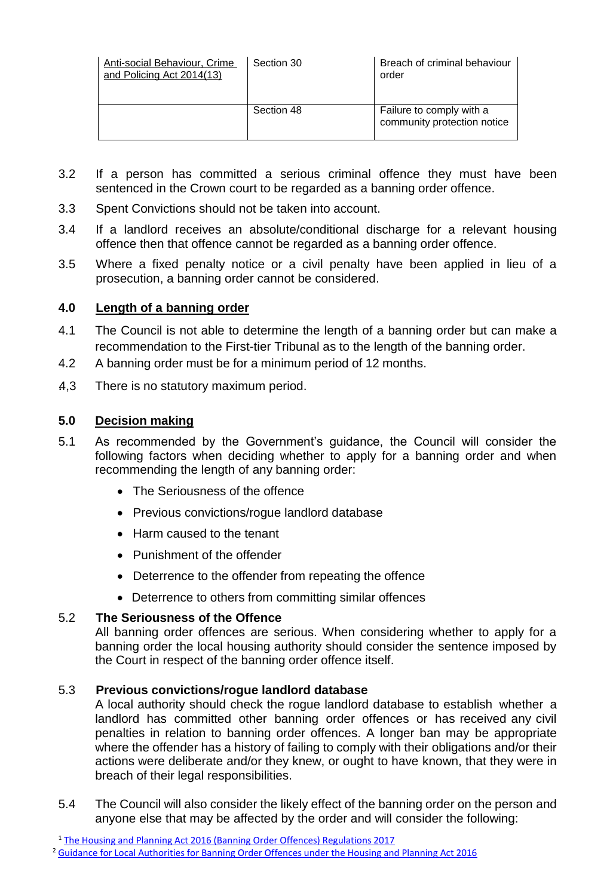| Anti-social Behaviour, Crime<br>and Policing Act 2014(13) | Section 30 | Breach of criminal behaviour<br>order                   |
|-----------------------------------------------------------|------------|---------------------------------------------------------|
|                                                           | Section 48 | Failure to comply with a<br>community protection notice |

- 3.2 If a person has committed a serious criminal offence they must have been sentenced in the Crown court to be regarded as a banning order offence.
- 3.3 Spent Convictions should not be taken into account.
- 3.4 If a landlord receives an absolute/conditional discharge for a relevant housing offence then that offence cannot be regarded as a banning order offence.
- 3.5 Where a fixed penalty notice or a civil penalty have been applied in lieu of a prosecution, a banning order cannot be considered.

## **4.0 Length of a banning order**

- 4.1 The Council is not able to determine the length of a banning order but can make a recommendation to the First-tier Tribunal as to the length of the banning order.
- 4.2 A banning order must be for a minimum period of 12 months.
- .4,3 There is no statutory maximum period.

## **5.0 Decision making**

- 5.1 As recommended by the Government's guidance, the Council will consider the following factors when deciding whether to apply for a banning order and when recommending the length of any banning order:
	- The Seriousness of the offence
	- Previous convictions/roque landlord database
	- Harm caused to the tenant
	- Punishment of the offender
	- Deterrence to the offender from repeating the offence
	- Deterrence to others from committing similar offences

## 5.2 **The Seriousness of the Offence**

All banning order offences are serious. When considering whether to apply for a banning order the local housing authority should consider the sentence imposed by the Court in respect of the banning order offence itself.

## 5.3 **Previous convictions/rogue landlord database**

A local authority should check the rogue landlord database to establish whether a landlord has committed other banning order offences or has received any civil penalties in relation to banning order offences. A longer ban may be appropriate where the offender has a history of failing to comply with their obligations and/or their actions were deliberate and/or they knew, or ought to have known, that they were in breach of their legal responsibilities.

5.4 The Council will also consider the likely effect of the banning order on the person and anyone else that may be affected by the order and will consider the following:

<sup>1</sup> The Housing and Planning Act 2016 (Banning Order Offences) [Regulations](http://www.legislation.gov.uk/ukdsi/2017/9780111162224/contents) 2017

<sup>&</sup>lt;sup>2</sup> Guidance for Local [Authorities](https://assets.publishing.service.gov.uk/government/uploads/system/uploads/attachment_data/file/697643/Banning_order_guidance.pdf) for Banning Order Offences under the Housing and Planning Act 2016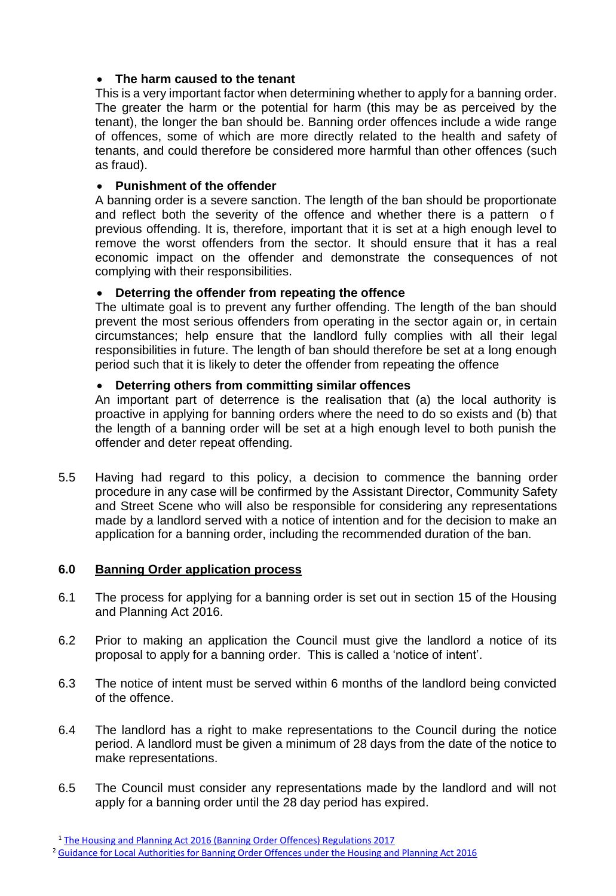## **The harm caused to the tenant**

This is a very important factor when determining whether to apply for a banning order. The greater the harm or the potential for harm (this may be as perceived by the tenant), the longer the ban should be. Banning order offences include a wide range of offences, some of which are more directly related to the health and safety of tenants, and could therefore be considered more harmful than other offences (such as fraud).

## **Punishment of the offender**

A banning order is a severe sanction. The length of the ban should be proportionate and reflect both the severity of the offence and whether there is a pattern o f previous offending. It is, therefore, important that it is set at a high enough level to remove the worst offenders from the sector. It should ensure that it has a real economic impact on the offender and demonstrate the consequences of not complying with their responsibilities.

## **Deterring the offender from repeating the offence**

The ultimate goal is to prevent any further offending. The length of the ban should prevent the most serious offenders from operating in the sector again or, in certain circumstances; help ensure that the landlord fully complies with all their legal responsibilities in future. The length of ban should therefore be set at a long enough period such that it is likely to deter the offender from repeating the offence

## **Deterring others from committing similar offences**

An important part of deterrence is the realisation that (a) the local authority is proactive in applying for banning orders where the need to do so exists and (b) that the length of a banning order will be set at a high enough level to both punish the offender and deter repeat offending.

5.5 Having had regard to this policy, a decision to commence the banning order procedure in any case will be confirmed by the Assistant Director, Community Safety and Street Scene who will also be responsible for considering any representations made by a landlord served with a notice of intention and for the decision to make an application for a banning order, including the recommended duration of the ban.

## **6.0 Banning Order application process**

- 6.1 The process for applying for a banning order is set out in section 15 of the Housing and Planning Act 2016.
- 6.2 Prior to making an application the Council must give the landlord a notice of its proposal to apply for a banning order. This is called a 'notice of intent'.
- 6.3 The notice of intent must be served within 6 months of the landlord being convicted of the offence.
- 6.4 The landlord has a right to make representations to the Council during the notice period. A landlord must be given a minimum of 28 days from the date of the notice to make representations.
- 6.5 The Council must consider any representations made by the landlord and will not apply for a banning order until the 28 day period has expired.

<sup>1</sup> The Housing and Planning Act 2016 (Banning Order Offences) [Regulations](http://www.legislation.gov.uk/ukdsi/2017/9780111162224/contents) 2017

<sup>&</sup>lt;sup>2</sup> Guidance for Local [Authorities](https://assets.publishing.service.gov.uk/government/uploads/system/uploads/attachment_data/file/697643/Banning_order_guidance.pdf) for Banning Order Offences under the Housing and Planning Act 2016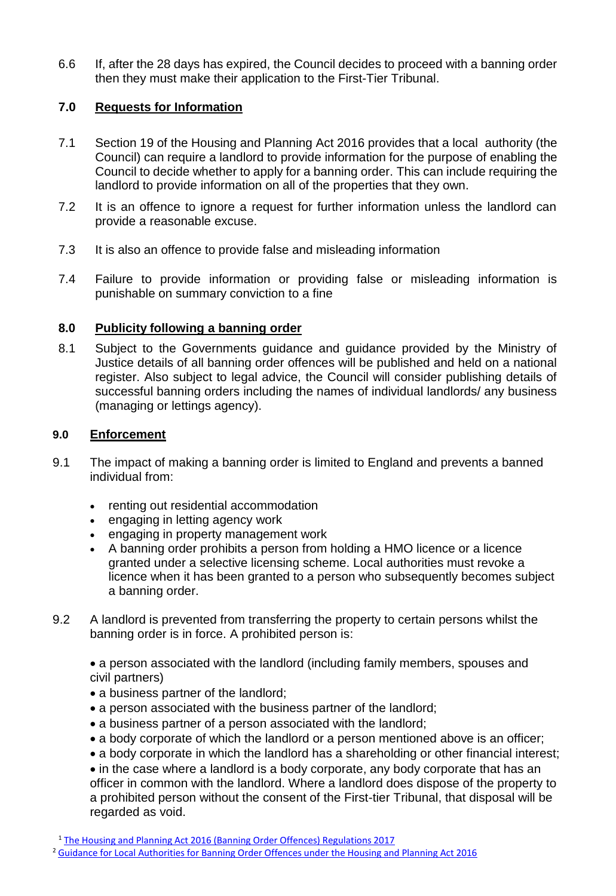6.6 If, after the 28 days has expired, the Council decides to proceed with a banning order then they must make their application to the First-Tier Tribunal.

## **7.0 Requests for Information**

- 7.1 Section 19 of the Housing and Planning Act 2016 provides that a local authority (the Council) can require a landlord to provide information for the purpose of enabling the Council to decide whether to apply for a banning order. This can include requiring the landlord to provide information on all of the properties that they own.
- 7.2 It is an offence to ignore a request for further information unless the landlord can provide a reasonable excuse.
- 7.3 It is also an offence to provide false and misleading information
- 7.4 Failure to provide information or providing false or misleading information is punishable on summary conviction to a fine

## **8.0 Publicity following a banning order**

8.1 Subject to the Governments guidance and guidance provided by the Ministry of Justice details of all banning order offences will be published and held on a national register. Also subject to legal advice, the Council will consider publishing details of successful banning orders including the names of individual landlords/ any business (managing or lettings agency).

## **9.0 Enforcement**

- 9.1 The impact of making a banning order is limited to England and prevents a banned individual from:
	- renting out residential accommodation
	- engaging in letting agency work
	- engaging in property management work
	- A banning order prohibits a person from holding a HMO licence or a licence granted under a selective licensing scheme. Local authorities must revoke a licence when it has been granted to a person who subsequently becomes subject a banning order.
- 9.2 A landlord is prevented from transferring the property to certain persons whilst the banning order is in force. A prohibited person is:

 a person associated with the landlord (including family members, spouses and civil partners)

- a business partner of the landlord;
- a person associated with the business partner of the landlord;
- a business partner of a person associated with the landlord;
- a body corporate of which the landlord or a person mentioned above is an officer;
- a body corporate in which the landlord has a shareholding or other financial interest;

• in the case where a landlord is a body corporate, any body corporate that has an officer in common with the landlord. Where a landlord does dispose of the property to a prohibited person without the consent of the First-tier Tribunal, that disposal will be regarded as void.

<sup>1</sup> The Housing and Planning Act 2016 (Banning Order Offences) [Regulations](http://www.legislation.gov.uk/ukdsi/2017/9780111162224/contents) 2017

<sup>2</sup> Guidance for Local [Authorities](https://assets.publishing.service.gov.uk/government/uploads/system/uploads/attachment_data/file/697643/Banning_order_guidance.pdf) for Banning Order Offences under the Housing and Planning Act 2016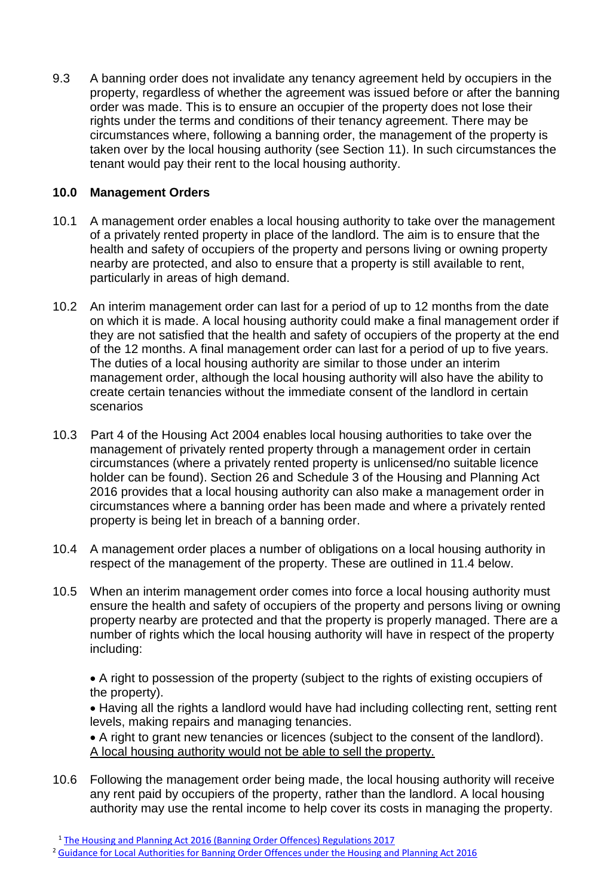9.3 A banning order does not invalidate any tenancy agreement held by occupiers in the property, regardless of whether the agreement was issued before or after the banning order was made. This is to ensure an occupier of the property does not lose their rights under the terms and conditions of their tenancy agreement. There may be circumstances where, following a banning order, the management of the property is taken over by the local housing authority (see Section 11). In such circumstances the tenant would pay their rent to the local housing authority.

## **10.0 Management Orders**

- 10.1 A management order enables a local housing authority to take over the management of a privately rented property in place of the landlord. The aim is to ensure that the health and safety of occupiers of the property and persons living or owning property nearby are protected, and also to ensure that a property is still available to rent, particularly in areas of high demand.
- 10.2 An interim management order can last for a period of up to 12 months from the date on which it is made. A local housing authority could make a final management order if they are not satisfied that the health and safety of occupiers of the property at the end of the 12 months. A final management order can last for a period of up to five years. The duties of a local housing authority are similar to those under an interim management order, although the local housing authority will also have the ability to create certain tenancies without the immediate consent of the landlord in certain scenarios
- 10.3 Part 4 of the Housing Act 2004 enables local housing authorities to take over the management of privately rented property through a management order in certain circumstances (where a privately rented property is unlicensed/no suitable licence holder can be found). Section 26 and Schedule 3 of the Housing and Planning Act 2016 provides that a local housing authority can also make a management order in circumstances where a banning order has been made and where a privately rented property is being let in breach of a banning order.
- 10.4 A management order places a number of obligations on a local housing authority in respect of the management of the property. These are outlined in 11.4 below.
- 10.5 When an interim management order comes into force a local housing authority must ensure the health and safety of occupiers of the property and persons living or owning property nearby are protected and that the property is properly managed. There are a number of rights which the local housing authority will have in respect of the property including:

 A right to possession of the property (subject to the rights of existing occupiers of the property).

• Having all the rights a landlord would have had including collecting rent, setting rent levels, making repairs and managing tenancies.

 A right to grant new tenancies or licences (subject to the consent of the landlord). A local housing authority would not be able to sell the property.

10.6 Following the management order being made, the local housing authority will receive any rent paid by occupiers of the property, rather than the landlord. A local housing authority may use the rental income to help cover its costs in managing the property.

<sup>1</sup> The Housing and Planning Act 2016 (Banning Order Offences) [Regulations](http://www.legislation.gov.uk/ukdsi/2017/9780111162224/contents) 2017

<sup>&</sup>lt;sup>2</sup> Guidance for Local [Authorities](https://assets.publishing.service.gov.uk/government/uploads/system/uploads/attachment_data/file/697643/Banning_order_guidance.pdf) for Banning Order Offences under the Housing and Planning Act 2016